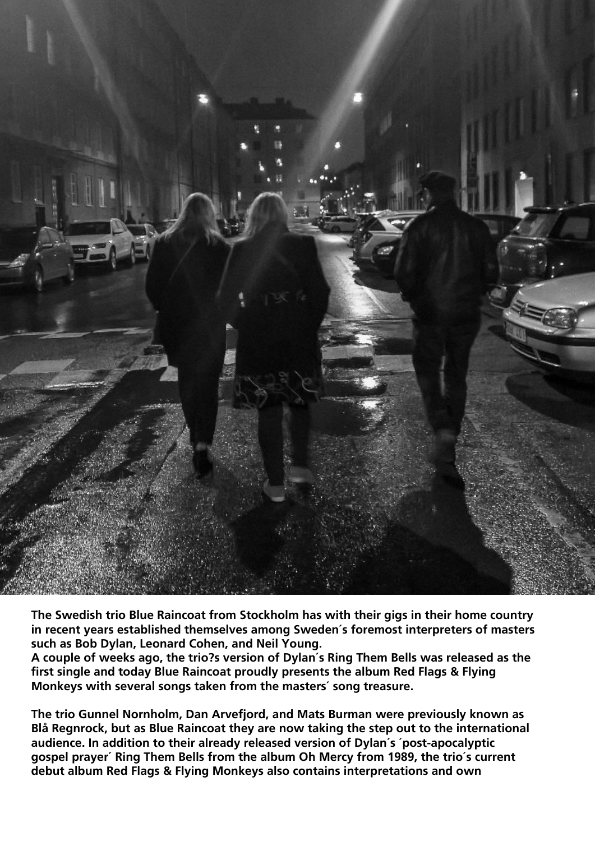

**The Swedish trio Blue Raincoat from Stockholm has with their gigs in their home country in recent years established themselves among Sweden´s foremost interpreters of masters such as Bob Dylan, Leonard Cohen, and Neil Young.**

**A couple of weeks ago, the trio?s version of Dylan´s Ring Them Bells was released as the first single and today Blue Raincoat proudly presents the album Red Flags & Flying Monkeys with several songs taken from the masters´ song treasure.**

**The trio Gunnel Nornholm, Dan Arvefjord, and Mats Burman were previously known as Blå Regnrock, but as Blue Raincoat they are now taking the step out to the international audience. In addition to their already released version of Dylan´s ´post-apocalyptic gospel prayer´ Ring Them Bells from the album Oh Mercy from 1989, the trio´s current debut album Red Flags & Flying Monkeys also contains interpretations and own**